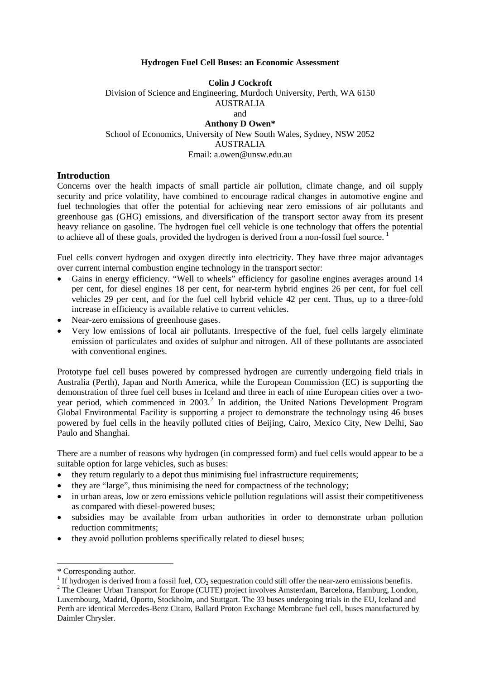#### **Hydrogen Fuel Cell Buses: an Economic Assessment**

# **Colin J Cockroft**  Division of Science and Engineering, Murdoch University, Perth, WA 6150 AUSTRALIA and **Anthony D Owen\***  School of Economics, University of New South Wales, Sydney, NSW 2052 AUSTRALIA

#### Email: a.owen@unsw.edu.au

## **Introduction**

Concerns over the health impacts of small particle air pollution, climate change, and oil supply security and price volatility, have combined to encourage radical changes in automotive engine and fuel technologies that offer the potential for achieving near zero emissions of air pollutants and greenhouse gas (GHG) emissions, and diversification of the transport sector away from its present heavy reliance on gasoline. The hydrogen fuel cell vehicle is one technology that offers the potential to achieve all of these goals, provided the hydrogen is derived from a non-fossil fuel source.<sup>[1](#page-0-0)</sup>

Fuel cells convert hydrogen and oxygen directly into electricity. They have three major advantages over current internal combustion engine technology in the transport sector:

- Gains in energy efficiency. "Well to wheels" efficiency for gasoline engines averages around 14 per cent, for diesel engines 18 per cent, for near-term hybrid engines 26 per cent, for fuel cell vehicles 29 per cent, and for the fuel cell hybrid vehicle 42 per cent. Thus, up to a three-fold increase in efficiency is available relative to current vehicles.
- Near-zero emissions of greenhouse gases.
- Very low emissions of local air pollutants. Irrespective of the fuel, fuel cells largely eliminate emission of particulates and oxides of sulphur and nitrogen. All of these pollutants are associated with conventional engines.

Prototype fuel cell buses powered by compressed hydrogen are currently undergoing field trials in Australia (Perth), Japan and North America, while the European Commission (EC) is supporting the demonstration of three fuel cell buses in Iceland and three in each of nine European cities over a two-year period, which commenced in [2](#page-0-1)003.<sup>2</sup> In addition, the United Nations Development Program Global Environmental Facility is supporting a project to demonstrate the technology using 46 buses powered by fuel cells in the heavily polluted cities of Beijing, Cairo, Mexico City, New Delhi, Sao Paulo and Shanghai.

There are a number of reasons why hydrogen (in compressed form) and fuel cells would appear to be a suitable option for large vehicles, such as buses:

- they return regularly to a depot thus minimising fuel infrastructure requirements;
- they are "large", thus minimising the need for compactness of the technology;
- in urban areas, low or zero emissions vehicle pollution regulations will assist their competitiveness as compared with diesel-powered buses;
- subsidies may be available from urban authorities in order to demonstrate urban pollution reduction commitments;
- they avoid pollution problems specifically related to diesel buses;

 $\overline{a}$ 

<span id="page-0-0"></span><sup>\*</sup> Corresponding author.

<sup>&</sup>lt;sup>1</sup> If hydrogen is derived from a fossil fuel,  $CO_2$  sequestration could still offer the near-zero emissions benefits.<br><sup>2</sup> The Cleaner Urban Transport for Europe (CUTE) project involves A meterdam, Bergelone, Homburg, Lon

<span id="page-0-1"></span><sup>&</sup>lt;sup>2</sup> The Cleaner Urban Transport for Europe (CUTE) project involves Amsterdam, Barcelona, Hamburg, London, Luxembourg, Madrid, Oporto, Stockholm, and Stuttgart. The 33 buses undergoing trials in the EU, Iceland and Perth are identical Mercedes-Benz Citaro, Ballard Proton Exchange Membrane fuel cell, buses manufactured by Daimler Chrysler.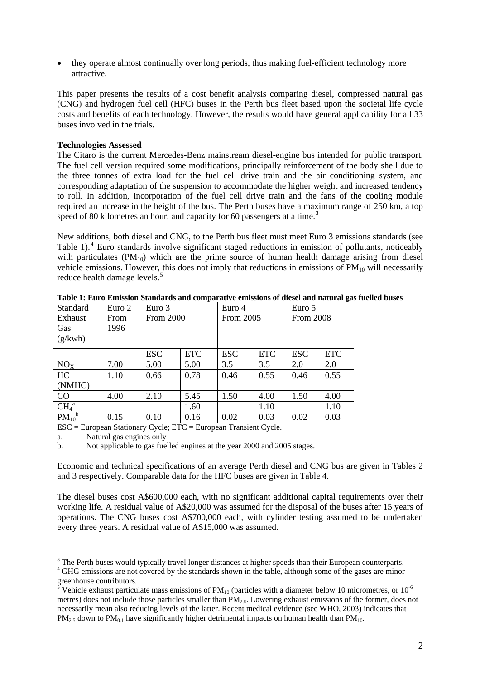• they operate almost continually over long periods, thus making fuel-efficient technology more attractive.

This paper presents the results of a cost benefit analysis comparing diesel, compressed natural gas (CNG) and hydrogen fuel cell (HFC) buses in the Perth bus fleet based upon the societal life cycle costs and benefits of each technology. However, the results would have general applicability for all 33 buses involved in the trials.

# **Technologies Assessed**

The Citaro is the current Mercedes-Benz mainstream diesel-engine bus intended for public transport. The fuel cell version required some modifications, principally reinforcement of the body shell due to the three tonnes of extra load for the fuel cell drive train and the air conditioning system, and corresponding adaptation of the suspension to accommodate the higher weight and increased tendency to roll. In addition, incorporation of the fuel cell drive train and the fans of the cooling module required an increase in the height of the bus. The Perth buses have a maximum range of 250 km, a top speed of 80 kilometres an hour, and capacity for 60 passengers at a time.<sup>[3](#page-1-0)</sup>

New additions, both diesel and CNG, to the Perth bus fleet must meet Euro 3 emissions standards (see Table 1).<sup>[4](#page-1-1)</sup> Euro standards involve significant staged reductions in emission of pollutants, noticeably with particulates  $(PM_{10})$  which are the prime source of human health damage arising from diesel vehicle emissions. However, this does not imply that reductions in emissions of  $PM_{10}$  will necessarily reduce health damage levels.<sup>[5](#page-1-2)</sup>

| <b>Standard</b>              | Euro 2 | Euro 3           |            | Euro 4     |            | Euro 5           |            |
|------------------------------|--------|------------------|------------|------------|------------|------------------|------------|
| Exhaust                      | From   | <b>From 2000</b> |            | From 2005  |            | <b>From 2008</b> |            |
| Gas                          | 1996   |                  |            |            |            |                  |            |
| (g/kwh)                      |        |                  |            |            |            |                  |            |
|                              |        | <b>ESC</b>       | <b>ETC</b> | <b>ESC</b> | <b>ETC</b> | <b>ESC</b>       | <b>ETC</b> |
| NO <sub>x</sub>              | 7.00   | 5.00             | 5.00       | 3.5        | 3.5        | 2.0              | 2.0        |
| HC                           | 1.10   | 0.66             | 0.78       | 0.46       | 0.55       | 0.46             | 0.55       |
| (NMHC)                       |        |                  |            |            |            |                  |            |
| $\rm CO$                     | 4.00   | 2.10             | 5.45       | 1.50       | 4.00       | 1.50             | 4.00       |
| CH <sub>4</sub> <sup>a</sup> |        |                  | 1.60       |            | 1.10       |                  | 1.10       |
| $PM_{10}^{\text{b}}$         | 0.15   | 0.10             | 0.16       | 0.02       | 0.03       | 0.02             | 0.03       |

**Table 1: Euro Emission Standards and comparative emissions of diesel and natural gas fuelled buses** 

ESC = European Stationary Cycle; ETC = European Transient Cycle.

a. Natural gas engines only

b. Not applicable to gas fuelled engines at the year 2000 and 2005 stages.

Economic and technical specifications of an average Perth diesel and CNG bus are given in Tables 2 and 3 respectively. Comparable data for the HFC buses are given in Table 4.

The diesel buses cost A\$600,000 each, with no significant additional capital requirements over their working life. A residual value of A\$20,000 was assumed for the disposal of the buses after 15 years of operations. The CNG buses cost A\$700,000 each, with cylinder testing assumed to be undertaken every three years. A residual value of A\$15,000 was assumed.

<sup>&</sup>lt;sup>3</sup> The Perth buses would typically travel longer distances at higher speeds than their European counterparts.

<span id="page-1-1"></span><span id="page-1-0"></span><sup>&</sup>lt;sup>4</sup> GHG emissions are not covered by the standards shown in the table, although some of the gases are minor greenhouse contributors.

<span id="page-1-2"></span>Vehicle exhaust particulate mass emissions of  $PM_{10}$  (particles with a diameter below 10 micrometres, or  $10^{-6}$ metres) does not include those particles smaller than PM<sub>2.5</sub>. Lowering exhaust emissions of the former, does not necessarily mean also reducing levels of the latter. Recent medical evidence (see WHO, 2003) indicates that  $PM_{2.5}$  down to  $PM_{0.1}$  have significantly higher detrimental impacts on human health than  $PM_{10}$ .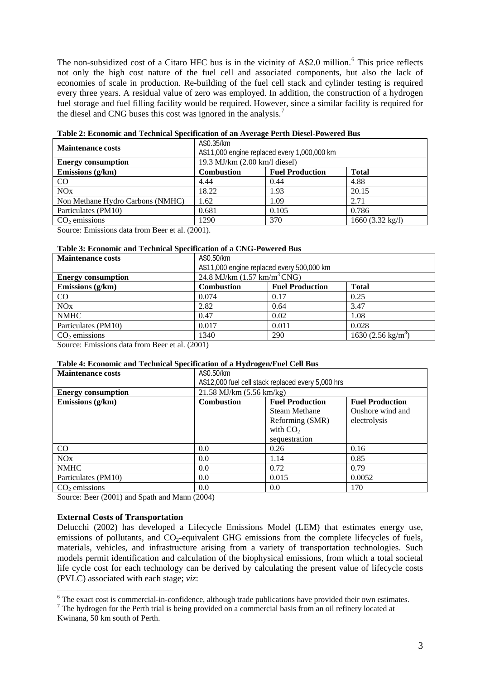The non-subsidized cost of a Citaro HFC bus is in the vicinity of A\$2.0 million.<sup>[6](#page-2-0)</sup> This price reflects not only the high cost nature of the fuel cell and associated components, but also the lack of economies of scale in production. Re-building of the fuel cell stack and cylinder testing is required every three years. A residual value of zero was employed. In addition, the construction of a hydrogen fuel storage and fuel filling facility would be required. However, since a similar facility is required for the diesel and CNG buses this cost was ignored in the analysis.[7](#page-2-1)

| <b>Maintenance costs</b>         | A\$0.35/km<br>A\$11,000 engine replaced every 1,000,000 km |                        |                            |  |  |
|----------------------------------|------------------------------------------------------------|------------------------|----------------------------|--|--|
| <b>Energy consumption</b>        | 19.3 MJ/km (2.00 km/l diesel)                              |                        |                            |  |  |
| Emissions $(g/km)$               | <b>Combustion</b>                                          | <b>Fuel Production</b> | <b>Total</b>               |  |  |
| CO.                              | 4.44                                                       | 0.44                   | 4.88                       |  |  |
| NOx                              | 18.22                                                      | 1.93                   | 20.15                      |  |  |
| Non Methane Hydro Carbons (NMHC) | 1.62                                                       | 1.09                   | 2.71                       |  |  |
| Particulates (PM10)              | 0.681                                                      | 0.105                  | 0.786                      |  |  |
| $CO2$ emissions                  | 1290                                                       | 370                    | $1660 (3.32 \text{ kg/l})$ |  |  |
|                                  | $\sim$ $\sim$ $\sim$ $\sim$ $\sim$                         |                        |                            |  |  |

**Table 2: Economic and Technical Specification of an Average Perth Diesel-Powered Bus** 

Source: Emissions data from Beer et al. (2001).

#### **Table 3: Economic and Technical Specification of a CNG-Powered Bus**

| <b>Maintenance costs</b>  | A\$0.50/km                                    |                        |                                |  |  |
|---------------------------|-----------------------------------------------|------------------------|--------------------------------|--|--|
|                           | A\$11,000 engine replaced every 500,000 km    |                        |                                |  |  |
| <b>Energy consumption</b> | 24.8 MJ/km $(1.57 \text{ km/m}^3 \text{CNG})$ |                        |                                |  |  |
| Emissions (g/km)          | <b>Combustion</b>                             | <b>Fuel Production</b> | <b>Total</b>                   |  |  |
| CO                        | 0.074                                         | 0.17                   | 0.25                           |  |  |
| NOx                       | 2.82                                          | 0.64                   | 3.47                           |  |  |
| <b>NMHC</b>               | 0.47                                          | 0.02                   | 1.08                           |  |  |
| Particulates (PM10)       | 0.017                                         | 0.011                  | 0.028                          |  |  |
| $CO2$ emissions           | 1340                                          | 290                    | 1630 (2.56 kg/m <sup>3</sup> ) |  |  |

Source: Emissions data from Beer et al. (2001)

# **Table 4: Economic and Technical Specification of a Hydrogen/Fuel Cell Bus**

| <b>Maintenance costs</b>  | A\$0.50/km                                                            |                      |                  |  |
|---------------------------|-----------------------------------------------------------------------|----------------------|------------------|--|
|                           | A\$12,000 fuel cell stack replaced every 5,000 hrs                    |                      |                  |  |
| <b>Energy consumption</b> | $21.58$ MJ/km $(5.56$ km/kg)                                          |                      |                  |  |
| Emissions (g/km)          | <b>Combustion</b><br><b>Fuel Production</b><br><b>Fuel Production</b> |                      |                  |  |
|                           |                                                                       | <b>Steam Methane</b> | Onshore wind and |  |
|                           |                                                                       | Reforming (SMR)      | electrolysis     |  |
|                           | with $CO2$                                                            |                      |                  |  |
|                           |                                                                       | sequestration        |                  |  |
| $\rm CO$                  | 0.0                                                                   | 0.26                 | 0.16             |  |
| NOx                       | 0.0                                                                   | 1.14                 | 0.85             |  |
| <b>NMHC</b>               | 0.0                                                                   | 0.72                 | 0.79             |  |
| Particulates (PM10)       | 0.0                                                                   | 0.015                | 0.0052           |  |
| $CO2$ emissions           | 0.0                                                                   | 0.0                  | 170              |  |

Source: Beer (2001) and Spath and Mann (2004)

## **External Costs of Transportation**

Delucchi (2002) has developed a Lifecycle Emissions Model (LEM) that estimates energy use, emissions of pollutants, and  $CO<sub>2</sub>$ -equivalent GHG emissions from the complete lifecycles of fuels, materials, vehicles, and infrastructure arising from a variety of transportation technologies. Such models permit identification and calculation of the biophysical emissions, from which a total societal life cycle cost for each technology can be derived by calculating the present value of lifecycle costs (PVLC) associated with each stage; *viz*:

<span id="page-2-1"></span><span id="page-2-0"></span> $\frac{7}{1}$  The hydrogen for the Perth trial is being provided on a commercial basis from an oil refinery located at Kwinana, 50 km south of Perth.

<sup>&</sup>lt;sup>6</sup> The exact cost is commercial-in-confidence, although trade publications have provided their own estimates.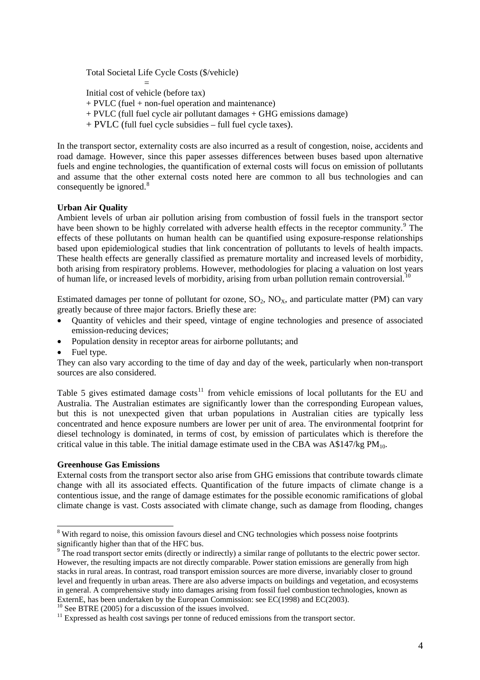Total Societal Life Cycle Costs (\$/vehicle)  $=$   $=$ Initial cost of vehicle (before tax) + PVLC (fuel + non-fuel operation and maintenance)  $+$  PVLC (full fuel cycle air pollutant damages  $+$  GHG emissions damage) + PVLC (full fuel cycle subsidies – full fuel cycle taxes).

In the transport sector, externality costs are also incurred as a result of congestion, noise, accidents and road damage. However, since this paper assesses differences between buses based upon alternative fuels and engine technologies, the quantification of external costs will focus on emission of pollutants and assume that the other external costs noted here are common to all bus technologies and can consequently be ignored.<sup>[8](#page-3-0)</sup>

# **Urban Air Quality**

Ambient levels of urban air pollution arising from combustion of fossil fuels in the transport sector have been shown to be highly correlated with adverse health effects in the receptor community.<sup>[9](#page-3-1)</sup> The effects of these pollutants on human health can be quantified using exposure-response relationships based upon epidemiological studies that link concentration of pollutants to levels of health impacts. These health effects are generally classified as premature mortality and increased levels of morbidity, both arising from respiratory problems. However, methodologies for placing a valuation on lost years of human life, or increased levels of morbidity, arising from urban pollution remain controversial.[10](#page-3-2)

Estimated damages per tonne of pollutant for ozone,  $SO_2$ ,  $NO_{X}$ , and particulate matter (PM) can vary greatly because of three major factors. Briefly these are:

- Quantity of vehicles and their speed, vintage of engine technologies and presence of associated emission-reducing devices;
- Population density in receptor areas for airborne pollutants; and
- Fuel type.

They can also vary according to the time of day and day of the week, particularly when non-transport sources are also considered.

Table 5 gives estimated damage  $costs<sup>11</sup>$  $costs<sup>11</sup>$  $costs<sup>11</sup>$  from vehicle emissions of local pollutants for the EU and Australia. The Australian estimates are significantly lower than the corresponding European values, but this is not unexpected given that urban populations in Australian cities are typically less concentrated and hence exposure numbers are lower per unit of area. The environmental footprint for diesel technology is dominated, in terms of cost, by emission of particulates which is therefore the critical value in this table. The initial damage estimate used in the CBA was  $A$147/kg PM<sub>10</sub>$ .

## **Greenhouse Gas Emissions**

External costs from the transport sector also arise from GHG emissions that contribute towards climate change with all its associated effects. Quantification of the future impacts of climate change is a contentious issue, and the range of damage estimates for the possible economic ramifications of global climate change is vast. Costs associated with climate change, such as damage from flooding, changes

<span id="page-3-0"></span><sup>&</sup>lt;sup>8</sup> With regard to noise, this omission favours diesel and CNG technologies which possess noise footprints significantly higher than that of the HFC bus.<br><sup>9</sup> The road transport sector emits (directly or in

<span id="page-3-1"></span>The road transport sector emits (directly or indirectly) a similar range of pollutants to the electric power sector. However, the resulting impacts are not directly comparable. Power station emissions are generally from high stacks in rural areas. In contrast, road transport emission sources are more diverse, invariably closer to ground level and frequently in urban areas. There are also adverse impacts on buildings and vegetation, and ecosystems in general. A comprehensive study into damages arising from fossil fuel combustion technologies, known as ExternE, has been undertaken by the European Commission: see EC(1998) and EC(2003).

<span id="page-3-2"></span> $10$  See BTRE (2005) for a discussion of the issues involved.

<span id="page-3-3"></span><sup>&</sup>lt;sup>11</sup> Expressed as health cost savings per tonne of reduced emissions from the transport sector.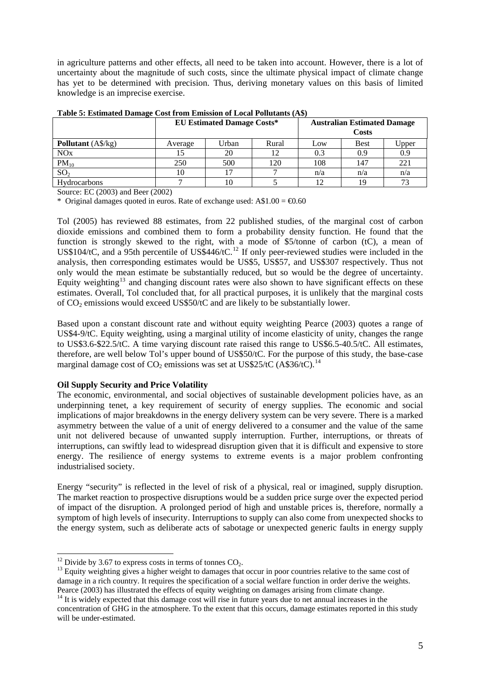in agriculture patterns and other effects, all need to be taken into account. However, there is a lot of uncertainty about the magnitude of such costs, since the ultimate physical impact of climate change has yet to be determined with precision. Thus, deriving monetary values on this basis of limited knowledge is an imprecise exercise.

|                           | <b>EU Estimated Damage Costs*</b> |       |       |     | <b>Australian Estimated Damage</b><br>Costs |       |
|---------------------------|-----------------------------------|-------|-------|-----|---------------------------------------------|-------|
| <b>Pollutant</b> (A\$/kg) | Average                           | Urban | Rural | Low | <b>Best</b>                                 | Upper |
| <b>NOx</b>                |                                   | 20    | 12    | 0.3 | 0.9                                         | 0.9   |
| $PM_{10}$                 | 250                               | 500   | 120   | 108 | 147                                         | 221   |
| SO <sub>2</sub>           |                                   |       |       | n/a | n/a                                         | n/a   |
| <b>Hydrocarbons</b>       |                                   | 10    |       |     | 19                                          | 73    |

**Table 5: Estimated Damage Cost from Emission of Local Pollutants (A\$)** 

Source: EC (2003) and Beer (2002)

\* Original damages quoted in euros. Rate of exchange used:  $A$1.00 = \text{\textsterling}0.60$ 

Tol (2005) has reviewed 88 estimates, from 22 published studies, of the marginal cost of carbon dioxide emissions and combined them to form a probability density function. He found that the function is strongly skewed to the right, with a mode of \$5/tonne of carbon (tC), a mean of US\$104/tC, and a 95th percentile of US\$446/tC.<sup>[12](#page-4-0)</sup> If only peer-reviewed studies were included in the analysis, then corresponding estimates would be US\$5, US\$57, and US\$307 respectively. Thus not only would the mean estimate be substantially reduced, but so would be the degree of uncertainty. Equity weighting<sup>[13](#page-4-1)</sup> and changing discount rates were also shown to have significant effects on these estimates. Overall, Tol concluded that, for all practical purposes, it is unlikely that the marginal costs of  $CO<sub>2</sub>$  emissions would exceed US\$50/tC and are likely to be substantially lower.

Based upon a constant discount rate and without equity weighting Pearce (2003) quotes a range of US\$4-9/tC. Equity weighting, using a marginal utility of income elasticity of unity, changes the range to US\$3.6-\$22.5/tC. A time varying discount rate raised this range to US\$6.5-40.5/tC. All estimates, therefore, are well below Tol's upper bound of US\$50/tC. For the purpose of this study, the base-case marginal damage cost of  $CO_2$  emissions was set at US\$25/tC (A\$36/tC).<sup>[14](#page-4-2)</sup>

# **Oil Supply Security and Price Volatility**

The economic, environmental, and social objectives of sustainable development policies have, as an underpinning tenet, a key requirement of security of energy supplies. The economic and social implications of major breakdowns in the energy delivery system can be very severe. There is a marked asymmetry between the value of a unit of energy delivered to a consumer and the value of the same unit not delivered because of unwanted supply interruption. Further, interruptions, or threats of interruptions, can swiftly lead to widespread disruption given that it is difficult and expensive to store energy. The resilience of energy systems to extreme events is a major problem confronting industrialised society.

Energy "security" is reflected in the level of risk of a physical, real or imagined, supply disruption. The market reaction to prospective disruptions would be a sudden price surge over the expected period of impact of the disruption. A prolonged period of high and unstable prices is, therefore, normally a symptom of high levels of insecurity. Interruptions to supply can also come from unexpected shocks to the energy system, such as deliberate acts of sabotage or unexpected generic faults in energy supply

<span id="page-4-0"></span><sup>&</sup>lt;sup>12</sup> Divide by 3.67 to express costs in terms of tonnes  $CO<sub>2</sub>$ .

<span id="page-4-1"></span> $13$  Equity weighting gives a higher weight to damages that occur in poor countries relative to the same cost of damage in a rich country. It requires the specification of a social welfare function in order derive the weights. Pearce (2003) has illustrated the effects of equity weighting on damages arising from climate change. 14 It is widely expected that this damage cost will rise in future years due to net annual increases in the

<span id="page-4-2"></span>concentration of GHG in the atmosphere. To the extent that this occurs, damage estimates reported in this study will be under-estimated.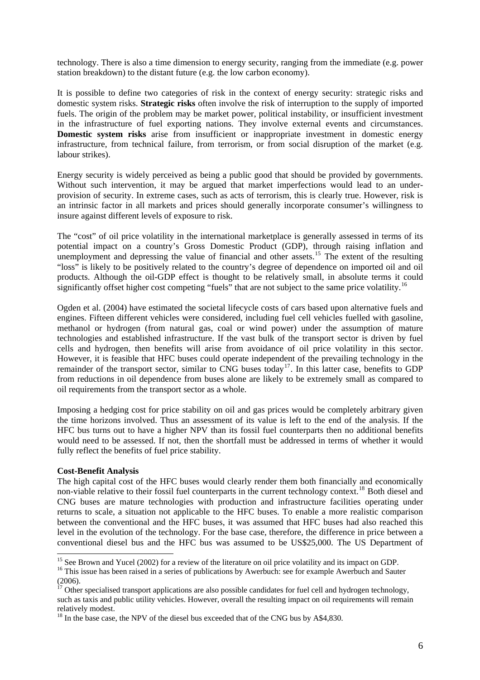technology. There is also a time dimension to energy security, ranging from the immediate (e.g. power station breakdown) to the distant future (e.g. the low carbon economy).

It is possible to define two categories of risk in the context of energy security: strategic risks and domestic system risks. **Strategic risks** often involve the risk of interruption to the supply of imported fuels. The origin of the problem may be market power, political instability, or insufficient investment in the infrastructure of fuel exporting nations. They involve external events and circumstances. **Domestic system risks** arise from insufficient or inappropriate investment in domestic energy infrastructure, from technical failure, from terrorism, or from social disruption of the market (e.g. labour strikes).

Energy security is widely perceived as being a public good that should be provided by governments. Without such intervention, it may be argued that market imperfections would lead to an underprovision of security. In extreme cases, such as acts of terrorism, this is clearly true. However, risk is an intrinsic factor in all markets and prices should generally incorporate consumer's willingness to insure against different levels of exposure to risk.

The "cost" of oil price volatility in the international marketplace is generally assessed in terms of its potential impact on a country's Gross Domestic Product (GDP), through raising inflation and unemployment and depressing the value of financial and other assets.<sup>[15](#page-5-0)</sup> The extent of the resulting "loss" is likely to be positively related to the country's degree of dependence on imported oil and oil products. Although the oil-GDP effect is thought to be relatively small, in absolute terms it could significantly offset higher cost competing "fuels" that are not subject to the same price volatility.<sup>[16](#page-5-1)</sup>

Ogden et al. (2004) have estimated the societal lifecycle costs of cars based upon alternative fuels and engines. Fifteen different vehicles were considered, including fuel cell vehicles fuelled with gasoline, methanol or hydrogen (from natural gas, coal or wind power) under the assumption of mature technologies and established infrastructure. If the vast bulk of the transport sector is driven by fuel cells and hydrogen, then benefits will arise from avoidance of oil price volatility in this sector. However, it is feasible that HFC buses could operate independent of the prevailing technology in the remainder of the transport sector, similar to CNG buses today<sup>[17](#page-5-2)</sup>. In this latter case, benefits to GDP from reductions in oil dependence from buses alone are likely to be extremely small as compared to oil requirements from the transport sector as a whole.

Imposing a hedging cost for price stability on oil and gas prices would be completely arbitrary given the time horizons involved. Thus an assessment of its value is left to the end of the analysis. If the HFC bus turns out to have a higher NPV than its fossil fuel counterparts then no additional benefits would need to be assessed. If not, then the shortfall must be addressed in terms of whether it would fully reflect the benefits of fuel price stability.

## **Cost-Benefit Analysis**

The high capital cost of the HFC buses would clearly render them both financially and economically non-viable relative to their fossil fuel counterparts in the current technology context.<sup>[18](#page-5-3)</sup> Both diesel and CNG buses are mature technologies with production and infrastructure facilities operating under returns to scale, a situation not applicable to the HFC buses. To enable a more realistic comparison between the conventional and the HFC buses, it was assumed that HFC buses had also reached this level in the evolution of the technology. For the base case, therefore, the difference in price between a conventional diesel bus and the HFC bus was assumed to be US\$25,000. The US Department of

<span id="page-5-0"></span><sup>&</sup>lt;sup>15</sup> See Brown and Yucel (2002) for a review of the literature on oil price volatility and its impact on GDP.

<span id="page-5-1"></span><sup>&</sup>lt;sup>16</sup> This issue has been raised in a series of publications by Awerbuch: see for example Awerbuch and Sauter (2006).

<span id="page-5-2"></span> $17$  Other specialised transport applications are also possible candidates for fuel cell and hydrogen technology, such as taxis and public utility vehicles. However, overall the resulting impact on oil requirements will remain relatively modest.

<span id="page-5-3"></span><sup>&</sup>lt;sup>18</sup> In the base case, the NPV of the diesel bus exceeded that of the CNG bus by A\$4,830.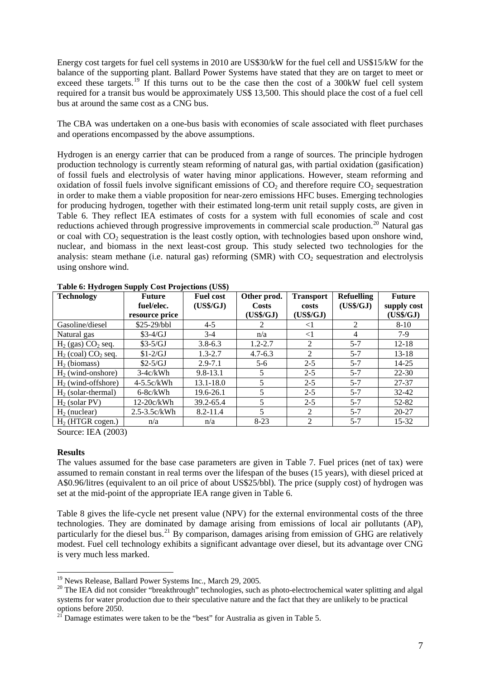Energy cost targets for fuel cell systems in 2010 are US\$30/kW for the fuel cell and US\$15/kW for the balance of the supporting plant. Ballard Power Systems have stated that they are on target to meet or exceed these targets.<sup>[19](#page-6-0)</sup> If this turns out to be the case then the cost of a 300kW fuel cell system required for a transit bus would be approximately US\$ 13,500. This should place the cost of a fuel cell bus at around the same cost as a CNG bus.

The CBA was undertaken on a one-bus basis with economies of scale associated with fleet purchases and operations encompassed by the above assumptions.

Hydrogen is an energy carrier that can be produced from a range of sources. The principle hydrogen production technology is currently steam reforming of natural gas, with partial oxidation (gasification) of fossil fuels and electrolysis of water having minor applications. However, steam reforming and oxidation of fossil fuels involve significant emissions of  $CO<sub>2</sub>$  and therefore require  $CO<sub>2</sub>$  sequestration in order to make them a viable proposition for near-zero emissions HFC buses. Emerging technologies for producing hydrogen, together with their estimated long-term unit retail supply costs, are given in Table 6. They reflect IEA estimates of costs for a system with full economies of scale and cost reductions achieved through progressive improvements in commercial scale production.<sup>[20](#page-6-1)</sup> Natural gas or coal with  $CO<sub>2</sub>$  sequestration is the least costly option, with technologies based upon onshore wind, nuclear, and biomass in the next least-cost group. This study selected two technologies for the analysis: steam methane (i.e. natural gas) reforming (SMR) with  $CO<sub>2</sub>$  sequestration and electrolysis using onshore wind.

| <b>Technology</b>        | <b>Future</b>    | <b>Fuel cost</b> | Other prod.  | <b>Transport</b> | <b>Refuelling</b> | <b>Future</b> |
|--------------------------|------------------|------------------|--------------|------------------|-------------------|---------------|
|                          | fuel/elec.       | (US\$/GJ)        | <b>Costs</b> | costs            | (US\$/GJ)         | supply cost   |
|                          | resource price   |                  | (US\$/GJ)    | (US\$/GJ)        |                   | (US\$/GJ)     |
| Gasoline/diesel          | \$25-29/bbl      | $4 - 5$          |              | $\leq$ 1         | 2                 | $8 - 10$      |
| Natural gas              | $$3-4/GJ$        | $3-4$            | n/a          | $<$ 1            | 4                 | $7-9$         |
| $H_2$ (gas) $CO_2$ seq.  | $$3-5/GJ$        | $3.8 - 6.3$      | $1.2 - 2.7$  | 2                | $5 - 7$           | $12 - 18$     |
| $H_2$ (coal) $CO_2$ seq. | $$1-2/GJ$        | $1.3 - 2.7$      | $4.7 - 6.3$  | $\mathfrak{D}$   | $5 - 7$           | $13 - 18$     |
| $H_2$ (biomass)          | $$2-5/GJ$        | $2.9 - 7.1$      | $5-6$        | $2 - 5$          | $5 - 7$           | $14 - 25$     |
| $H2$ (wind-onshore)      | $3-4c/kWh$       | $9.8 - 13.1$     | 5            | $2 - 5$          | $5 - 7$           | $22 - 30$     |
| $H2$ (wind-offshore)     | $4-5.5c/kWh$     | 13.1-18.0        | 5            | $2 - 5$          | $5 - 7$           | 27-37         |
| $H2$ (solar-thermal)     | $6-8c/kWh$       | 19.6-26.1        | 5            | $2 - 5$          | $5 - 7$           | $32 - 42$     |
| $H_2$ (solar PV)         | $12-20c/kWh$     | 39.2-65.4        | 5            | $2 - 5$          | $5 - 7$           | 52-82         |
| $H_2$ (nuclear)          | $2.5 - 3.5c/kWh$ | $8.2 - 11.4$     | 5            | 2                | $5 - 7$           | $20 - 27$     |
| $H2$ (HTGR cogen.)       | n/a              | n/a              | $8 - 23$     | 2                | $5 - 7$           | $15 - 32$     |

**Table 6: Hydrogen Supply Cost Projections (US\$)** 

Source: IEA (2003)

## **Results**

 $\overline{a}$ 

The values assumed for the base case parameters are given in Table 7. Fuel prices (net of tax) were assumed to remain constant in real terms over the lifespan of the buses (15 years), with diesel priced at A\$0.96/litres (equivalent to an oil price of about US\$25/bbl). The price (supply cost) of hydrogen was set at the mid-point of the appropriate IEA range given in Table 6.

Table 8 gives the life-cycle net present value (NPV) for the external environmental costs of the three technologies. They are dominated by damage arising from emissions of local air pollutants (AP), particularly for the diesel bus.<sup>[21](#page-6-2)</sup> By comparison, damages arising from emission of GHG are relatively modest. Fuel cell technology exhibits a significant advantage over diesel, but its advantage over CNG is very much less marked.

<span id="page-6-0"></span><sup>&</sup>lt;sup>19</sup> News Release, Ballard Power Systems Inc., March 29, 2005.

<span id="page-6-1"></span><sup>&</sup>lt;sup>20</sup> The IEA did not consider "breakthrough" technologies, such as photo-electrochemical water splitting and algal systems for water production due to their speculative nature and the fact that they are unlikely to be practical options before 2050.

<span id="page-6-2"></span><sup>&</sup>lt;sup>21</sup> Damage estimates were taken to be the "best" for Australia as given in Table 5.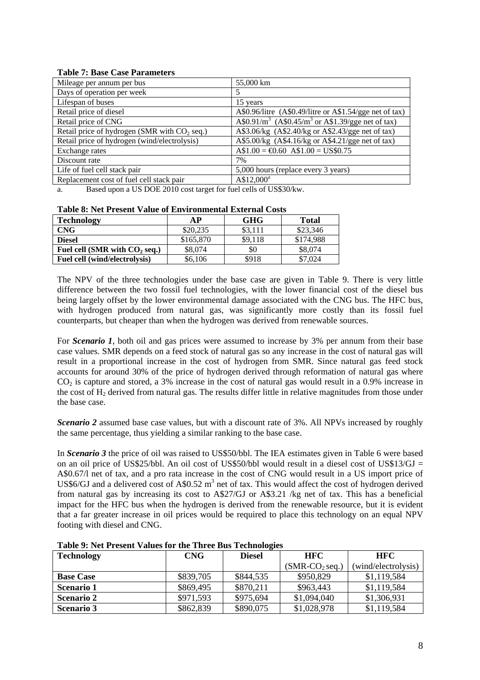## **Table 7: Base Case Parameters**

| Mileage per annum per bus                      | 55,000 km                                                                 |
|------------------------------------------------|---------------------------------------------------------------------------|
| Days of operation per week                     | 5                                                                         |
| Lifespan of buses                              | 15 years                                                                  |
| Retail price of diesel                         | A\$0.96/litre (A\$0.49/litre or A\$1.54/gge net of tax)                   |
| Retail price of CNG                            | A\$0.91/m <sup>3</sup> (A\$0.45/m <sup>3</sup> or A\$1.39/gge net of tax) |
| Retail price of hydrogen (SMR with $CO2$ seq.) | A\$3.06/kg (A\$2.40/kg or A\$2.43/gge net of tax)                         |
| Retail price of hydrogen (wind/electrolysis)   | A\$5.00/kg (A\$4.16/kg or A\$4.21/gge net of tax)                         |
| Exchange rates                                 | $A$1.00 = \text{\textsterling}0.60 A$1.00 = US$0.75$                      |
| Discount rate                                  | 7%                                                                        |
| Life of fuel cell stack pair                   | 5,000 hours (replace every 3 years)                                       |
| Replacement cost of fuel cell stack pair       | $A$12,000^a$                                                              |

a. Based upon a US DOE 2010 cost target for fuel cells of US\$30/kw.

| <b>Table 8: Net Present Value of Environmental External Costs</b> |    |            |       |  |  |
|-------------------------------------------------------------------|----|------------|-------|--|--|
| <b>Technology</b>                                                 | AP | <b>GHG</b> | Total |  |  |

| \$20,235<br>\$3,111<br>\$23,346<br><b>CNG</b>                |  |
|--------------------------------------------------------------|--|
| \$174.988<br>\$165,870<br>\$9.118<br><b>Diesel</b>           |  |
| \$8,074<br>\$8,074<br>Fuel cell (SMR with $CO2$ seq.)<br>\$0 |  |
| \$918<br>Fuel cell (wind/electrolysis)<br>\$6,106<br>\$7.024 |  |

The NPV of the three technologies under the base case are given in Table 9. There is very little difference between the two fossil fuel technologies, with the lower financial cost of the diesel bus being largely offset by the lower environmental damage associated with the CNG bus. The HFC bus, with hydrogen produced from natural gas, was significantly more costly than its fossil fuel counterparts, but cheaper than when the hydrogen was derived from renewable sources.

For *Scenario 1*, both oil and gas prices were assumed to increase by 3% per annum from their base case values. SMR depends on a feed stock of natural gas so any increase in the cost of natural gas will result in a proportional increase in the cost of hydrogen from SMR. Since natural gas feed stock accounts for around 30% of the price of hydrogen derived through reformation of natural gas where  $CO<sub>2</sub>$  is capture and stored, a 3% increase in the cost of natural gas would result in a 0.9% increase in the cost of H2 derived from natural gas. The results differ little in relative magnitudes from those under the base case.

*Scenario 2* assumed base case values, but with a discount rate of 3%. All NPVs increased by roughly the same percentage, thus yielding a similar ranking to the base case.

In *Scenario 3* the price of oil was raised to US\$50/bbl. The IEA estimates given in Table 6 were based on an oil price of US\$25/bbl. An oil cost of US\$50/bbl would result in a diesel cost of US\$13/GJ = A\$0.67/l net of tax, and a pro rata increase in the cost of CNG would result in a US import price of US\$6/GJ and a delivered cost of A\$0.52  $m<sup>3</sup>$  net of tax. This would affect the cost of hydrogen derived from natural gas by increasing its cost to A\$27/GJ or A\$3.21 /kg net of tax. This has a beneficial impact for the HFC bus when the hydrogen is derived from the renewable resource, but it is evident that a far greater increase in oil prices would be required to place this technology on an equal NPV footing with diesel and CNG.

| Table 2. Fee Fresche Values for the Three Dus Technologies |            |               |                 |                     |  |  |
|------------------------------------------------------------|------------|---------------|-----------------|---------------------|--|--|
| <b>Technology</b>                                          | <b>CNG</b> | <b>Diesel</b> | <b>HFC</b>      | <b>HFC</b>          |  |  |
|                                                            |            |               | $(SMR-CO2seq.)$ | (wind/electrolysis) |  |  |
| <b>Base Case</b>                                           | \$839,705  | \$844,535     | \$950,829       | \$1,119,584         |  |  |
| <b>Scenario 1</b>                                          | \$869,495  | \$870,211     | \$963,443       | \$1,119,584         |  |  |
| <b>Scenario 2</b>                                          | \$971,593  | \$975,694     | \$1,094,040     | \$1,306,931         |  |  |
| <b>Scenario 3</b>                                          | \$862,839  | \$890,075     | \$1,028,978     | \$1,119,584         |  |  |

**Table 9: Net Present Values for the Three Bus Technologies**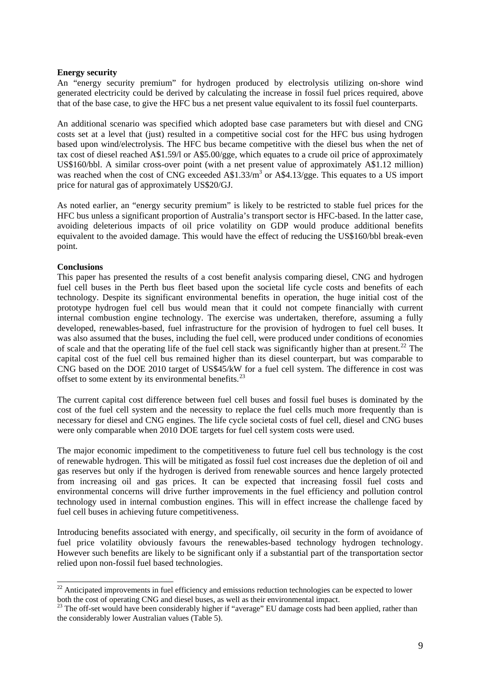## **Energy security**

An "energy security premium" for hydrogen produced by electrolysis utilizing on-shore wind generated electricity could be derived by calculating the increase in fossil fuel prices required, above that of the base case, to give the HFC bus a net present value equivalent to its fossil fuel counterparts.

An additional scenario was specified which adopted base case parameters but with diesel and CNG costs set at a level that (just) resulted in a competitive social cost for the HFC bus using hydrogen based upon wind/electrolysis. The HFC bus became competitive with the diesel bus when the net of tax cost of diesel reached A\$1.59/l or A\$5.00/gge, which equates to a crude oil price of approximately US\$160/bbl. A similar cross-over point (with a net present value of approximately A\$1.12 million) was reached when the cost of CNG exceeded  $A$1.33/m<sup>3</sup>$  or  $A$4.13/gge$ . This equates to a US import price for natural gas of approximately US\$20/GJ.

As noted earlier, an "energy security premium" is likely to be restricted to stable fuel prices for the HFC bus unless a significant proportion of Australia's transport sector is HFC-based. In the latter case, avoiding deleterious impacts of oil price volatility on GDP would produce additional benefits equivalent to the avoided damage. This would have the effect of reducing the US\$160/bbl break-even point.

## **Conclusions**

l

This paper has presented the results of a cost benefit analysis comparing diesel, CNG and hydrogen fuel cell buses in the Perth bus fleet based upon the societal life cycle costs and benefits of each technology. Despite its significant environmental benefits in operation, the huge initial cost of the prototype hydrogen fuel cell bus would mean that it could not compete financially with current internal combustion engine technology. The exercise was undertaken, therefore, assuming a fully developed, renewables-based, fuel infrastructure for the provision of hydrogen to fuel cell buses. It was also assumed that the buses, including the fuel cell, were produced under conditions of economies of scale and that the operating life of the fuel cell stack was significantly higher than at present.<sup>[22](#page-8-0)</sup> The capital cost of the fuel cell bus remained higher than its diesel counterpart, but was comparable to CNG based on the DOE 2010 target of US\$45/kW for a fuel cell system. The difference in cost was offset to some extent by its environmental benefits.<sup>[23](#page-8-1)</sup>

The current capital cost difference between fuel cell buses and fossil fuel buses is dominated by the cost of the fuel cell system and the necessity to replace the fuel cells much more frequently than is necessary for diesel and CNG engines. The life cycle societal costs of fuel cell, diesel and CNG buses were only comparable when 2010 DOE targets for fuel cell system costs were used.

The major economic impediment to the competitiveness to future fuel cell bus technology is the cost of renewable hydrogen. This will be mitigated as fossil fuel cost increases due the depletion of oil and gas reserves but only if the hydrogen is derived from renewable sources and hence largely protected from increasing oil and gas prices. It can be expected that increasing fossil fuel costs and environmental concerns will drive further improvements in the fuel efficiency and pollution control technology used in internal combustion engines. This will in effect increase the challenge faced by fuel cell buses in achieving future competitiveness.

Introducing benefits associated with energy, and specifically, oil security in the form of avoidance of fuel price volatility obviously favours the renewables-based technology hydrogen technology. However such benefits are likely to be significant only if a substantial part of the transportation sector relied upon non-fossil fuel based technologies.

<span id="page-8-0"></span> $22$  Anticipated improvements in fuel efficiency and emissions reduction technologies can be expected to lower both the cost of operating CNG and diesel buses, as well as their environmental impact.<br><sup>23</sup> The off-set would have been considerably higher if "average" EU damage costs had been applied, rather than

<span id="page-8-1"></span>the considerably lower Australian values (Table 5).